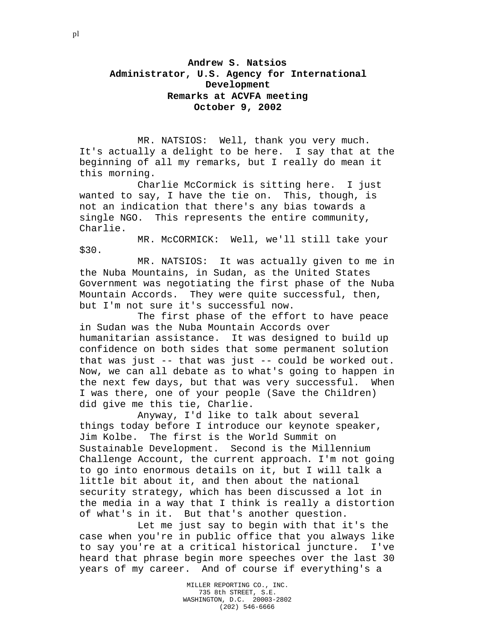**Andrew S. Natsios Administrator, U.S. Agency for International Development Remarks at ACVFA meeting October 9, 2002**

MR. NATSIOS: Well, thank you very much. It's actually a delight to be here. I say that at the beginning of all my remarks, but I really do mean it this morning.

Charlie McCormick is sitting here. I just wanted to say, I have the tie on. This, though, is not an indication that there's any bias towards a single NGO. This represents the entire community, Charlie.

MR. McCORMICK: Well, we'll still take your \$30.

MR. NATSIOS: It was actually given to me in the Nuba Mountains, in Sudan, as the United States Government was negotiating the first phase of the Nuba Mountain Accords. They were quite successful, then, but I'm not sure it's successful now.

The first phase of the effort to have peace in Sudan was the Nuba Mountain Accords over humanitarian assistance. It was designed to build up confidence on both sides that some permanent solution that was just -- that was just -- could be worked out. Now, we can all debate as to what's going to happen in the next few days, but that was very successful. When I was there, one of your people (Save the Children) did give me this tie, Charlie.

Anyway, I'd like to talk about several things today before I introduce our keynote speaker, Jim Kolbe. The first is the World Summit on Sustainable Development. Second is the Millennium Challenge Account, the current approach. I'm not going to go into enormous details on it, but I will talk a little bit about it, and then about the national security strategy, which has been discussed a lot in the media in a way that I think is really a distortion of what's in it. But that's another question.

Let me just say to begin with that it's the case when you're in public office that you always like to say you're at a critical historical juncture. I've heard that phrase begin more speeches over the last 30 years of my career. And of course if everything's a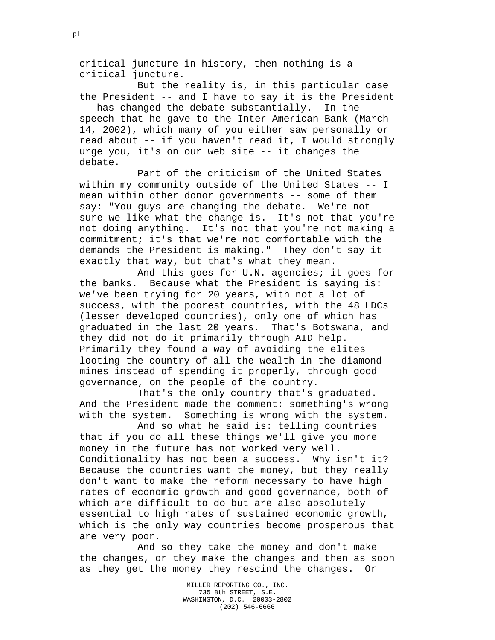critical juncture in history, then nothing is a critical juncture.

But the reality is, in this particular case the President -- and I have to say it is the President -- has changed the debate substantially. In the speech that he gave to the Inter-American Bank (March 14, 2002), which many of you either saw personally or read about -- if you haven't read it, I would strongly urge you, it's on our web site -- it changes the debate.

Part of the criticism of the United States within my community outside of the United States -- I mean within other donor governments -- some of them say: "You guys are changing the debate. We're not sure we like what the change is. It's not that you're not doing anything. It's not that you're not making a commitment; it's that we're not comfortable with the demands the President is making." They don't say it exactly that way, but that's what they mean.

And this goes for U.N. agencies; it goes for the banks. Because what the President is saying is: we've been trying for 20 years, with not a lot of success, with the poorest countries, with the 48 LDCs (lesser developed countries), only one of which has graduated in the last 20 years. That's Botswana, and they did not do it primarily through AID help. Primarily they found a way of avoiding the elites looting the country of all the wealth in the diamond mines instead of spending it properly, through good governance, on the people of the country.

That's the only country that's graduated. And the President made the comment: something's wrong with the system. Something is wrong with the system.

And so what he said is: telling countries that if you do all these things we'll give you more money in the future has not worked very well. Conditionality has not been a success. Why isn't it? Because the countries want the money, but they really don't want to make the reform necessary to have high rates of economic growth and good governance, both of which are difficult to do but are also absolutely essential to high rates of sustained economic growth, which is the only way countries become prosperous that are very poor.

And so they take the money and don't make the changes, or they make the changes and then as soon as they get the money they rescind the changes. Or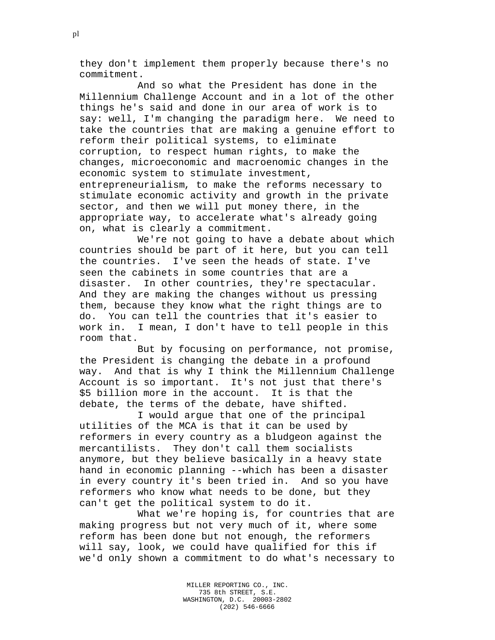they don't implement them properly because there's no commitment.

And so what the President has done in the Millennium Challenge Account and in a lot of the other things he's said and done in our area of work is to say: well, I'm changing the paradigm here. We need to take the countries that are making a genuine effort to reform their political systems, to eliminate corruption, to respect human rights, to make the changes, microeconomic and macroenomic changes in the economic system to stimulate investment, entrepreneurialism, to make the reforms necessary to stimulate economic activity and growth in the private sector, and then we will put money there, in the appropriate way, to accelerate what's already going on, what is clearly a commitment.

We're not going to have a debate about which countries should be part of it here, but you can tell the countries. I've seen the heads of state. I've seen the cabinets in some countries that are a disaster. In other countries, they're spectacular. And they are making the changes without us pressing them, because they know what the right things are to do. You can tell the countries that it's easier to work in. I mean, I don't have to tell people in this room that.

But by focusing on performance, not promise, the President is changing the debate in a profound way. And that is why I think the Millennium Challenge Account is so important. It's not just that there's \$5 billion more in the account. It is that the debate, the terms of the debate, have shifted.

I would argue that one of the principal utilities of the MCA is that it can be used by reformers in every country as a bludgeon against the mercantilists. They don't call them socialists anymore, but they believe basically in a heavy state hand in economic planning --which has been a disaster in every country it's been tried in. And so you have reformers who know what needs to be done, but they can't get the political system to do it.

What we're hoping is, for countries that are making progress but not very much of it, where some reform has been done but not enough, the reformers will say, look, we could have qualified for this if we'd only shown a commitment to do what's necessary to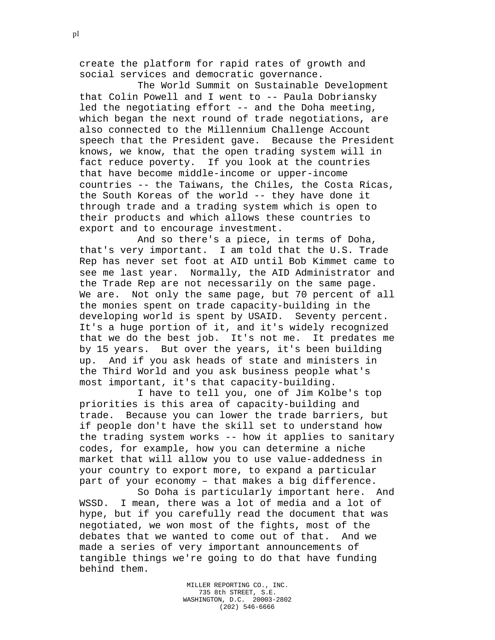create the platform for rapid rates of growth and social services and democratic governance.

The World Summit on Sustainable Development that Colin Powell and I went to -- Paula Dobriansky led the negotiating effort -- and the Doha meeting, which began the next round of trade negotiations, are also connected to the Millennium Challenge Account speech that the President gave. Because the President knows, we know, that the open trading system will in fact reduce poverty. If you look at the countries that have become middle-income or upper-income countries -- the Taiwans, the Chiles, the Costa Ricas, the South Koreas of the world -- they have done it through trade and a trading system which is open to their products and which allows these countries to export and to encourage investment.

And so there's a piece, in terms of Doha, that's very important. I am told that the U.S. Trade Rep has never set foot at AID until Bob Kimmet came to see me last year. Normally, the AID Administrator and the Trade Rep are not necessarily on the same page. We are. Not only the same page, but 70 percent of all the monies spent on trade capacity-building in the developing world is spent by USAID. Seventy percent. It's a huge portion of it, and it's widely recognized that we do the best job. It's not me. It predates me by 15 years. But over the years, it's been building up. And if you ask heads of state and ministers in the Third World and you ask business people what's most important, it's that capacity-building.

I have to tell you, one of Jim Kolbe's top priorities is this area of capacity-building and trade. Because you can lower the trade barriers, but if people don't have the skill set to understand how the trading system works -- how it applies to sanitary codes, for example, how you can determine a niche market that will allow you to use value-addedness in your country to export more, to expand a particular part of your economy – that makes a big difference.

So Doha is particularly important here. And WSSD. I mean, there was a lot of media and a lot of hype, but if you carefully read the document that was negotiated, we won most of the fights, most of the debates that we wanted to come out of that. And we made a series of very important announcements of tangible things we're going to do that have funding behind them.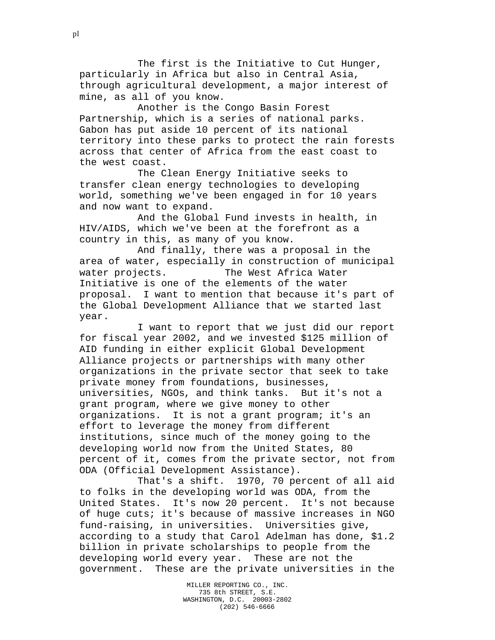The first is the Initiative to Cut Hunger, particularly in Africa but also in Central Asia, through agricultural development, a major interest of mine, as all of you know.

Another is the Congo Basin Forest Partnership, which is a series of national parks. Gabon has put aside 10 percent of its national territory into these parks to protect the rain forests across that center of Africa from the east coast to the west coast.

The Clean Energy Initiative seeks to transfer clean energy technologies to developing world, something we've been engaged in for 10 years and now want to expand.

And the Global Fund invests in health, in HIV/AIDS, which we've been at the forefront as a country in this, as many of you know.

And finally, there was a proposal in the area of water, especially in construction of municipal water projects. The West Africa Water Initiative is one of the elements of the water proposal. I want to mention that because it's part of the Global Development Alliance that we started last year.

I want to report that we just did our report for fiscal year 2002, and we invested \$125 million of AID funding in either explicit Global Development Alliance projects or partnerships with many other organizations in the private sector that seek to take private money from foundations, businesses, universities, NGOs, and think tanks. But it's not a grant program, where we give money to other organizations. It is not a grant program; it's an effort to leverage the money from different institutions, since much of the money going to the developing world now from the United States, 80 percent of it, comes from the private sector, not from ODA (Official Development Assistance).

That's a shift. 1970, 70 percent of all aid to folks in the developing world was ODA, from the United States. It's now 20 percent. It's not because of huge cuts; it's because of massive increases in NGO fund-raising, in universities. Universities give, according to a study that Carol Adelman has done, \$1.2 billion in private scholarships to people from the developing world every year. These are not the government. These are the private universities in the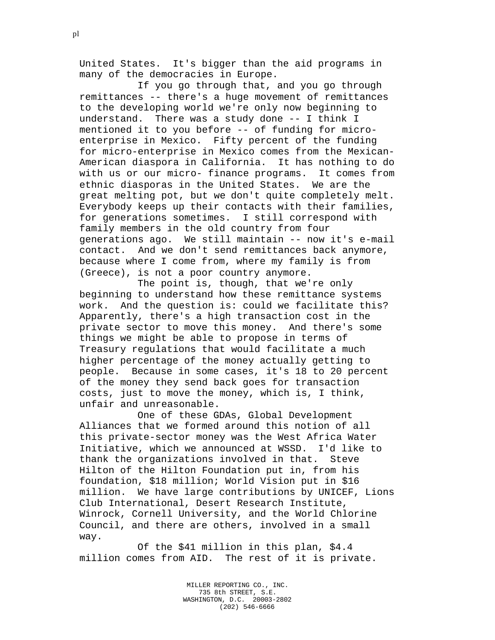United States. It's bigger than the aid programs in many of the democracies in Europe.

If you go through that, and you go through remittances -- there's a huge movement of remittances to the developing world we're only now beginning to understand. There was a study done -- I think I mentioned it to you before -- of funding for microenterprise in Mexico. Fifty percent of the funding for micro-enterprise in Mexico comes from the Mexican-American diaspora in California. It has nothing to do with us or our micro- finance programs. It comes from ethnic diasporas in the United States. We are the great melting pot, but we don't quite completely melt. Everybody keeps up their contacts with their families, for generations sometimes. I still correspond with family members in the old country from four generations ago. We still maintain -- now it's e-mail contact. And we don't send remittances back anymore, because where I come from, where my family is from (Greece), is not a poor country anymore.

The point is, though, that we're only beginning to understand how these remittance systems work. And the question is: could we facilitate this? Apparently, there's a high transaction cost in the private sector to move this money. And there's some things we might be able to propose in terms of Treasury regulations that would facilitate a much higher percentage of the money actually getting to people. Because in some cases, it's 18 to 20 percent of the money they send back goes for transaction costs, just to move the money, which is, I think, unfair and unreasonable.

One of these GDAs, Global Development Alliances that we formed around this notion of all this private-sector money was the West Africa Water Initiative, which we announced at WSSD. I'd like to thank the organizations involved in that. Steve Hilton of the Hilton Foundation put in, from his foundation, \$18 million; World Vision put in \$16 million. We have large contributions by UNICEF, Lions Club International, Desert Research Institute, Winrock, Cornell University, and the World Chlorine Council, and there are others, involved in a small way.

Of the \$41 million in this plan, \$4.4 million comes from AID. The rest of it is private.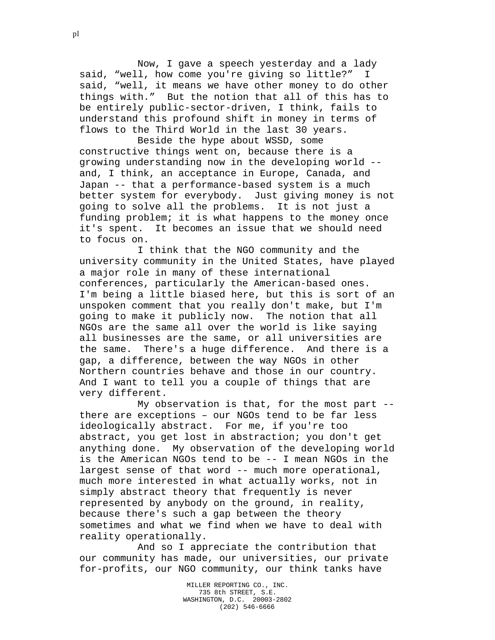Now, I gave a speech yesterday and a lady said, "well, how come you're giving so little?" I said, "well, it means we have other money to do other things with." But the notion that all of this has to be entirely public-sector-driven, I think, fails to understand this profound shift in money in terms of flows to the Third World in the last 30 years.

Beside the hype about WSSD, some constructive things went on, because there is a growing understanding now in the developing world - and, I think, an acceptance in Europe, Canada, and Japan -- that a performance-based system is a much better system for everybody. Just giving money is not going to solve all the problems. It is not just a funding problem; it is what happens to the money once it's spent. It becomes an issue that we should need to focus on.

I think that the NGO community and the university community in the United States, have played a major role in many of these international conferences, particularly the American-based ones. I'm being a little biased here, but this is sort of an unspoken comment that you really don't make, but I'm going to make it publicly now. The notion that all NGOs are the same all over the world is like saying all businesses are the same, or all universities are the same. There's a huge difference. And there is a gap, a difference, between the way NGOs in other Northern countries behave and those in our country. And I want to tell you a couple of things that are very different.

My observation is that, for the most part - there are exceptions – our NGOs tend to be far less ideologically abstract. For me, if you're too abstract, you get lost in abstraction; you don't get anything done. My observation of the developing world is the American NGOs tend to be -- I mean NGOs in the largest sense of that word -- much more operational, much more interested in what actually works, not in simply abstract theory that frequently is never represented by anybody on the ground, in reality, because there's such a gap between the theory sometimes and what we find when we have to deal with reality operationally.

And so I appreciate the contribution that our community has made, our universities, our private for-profits, our NGO community, our think tanks have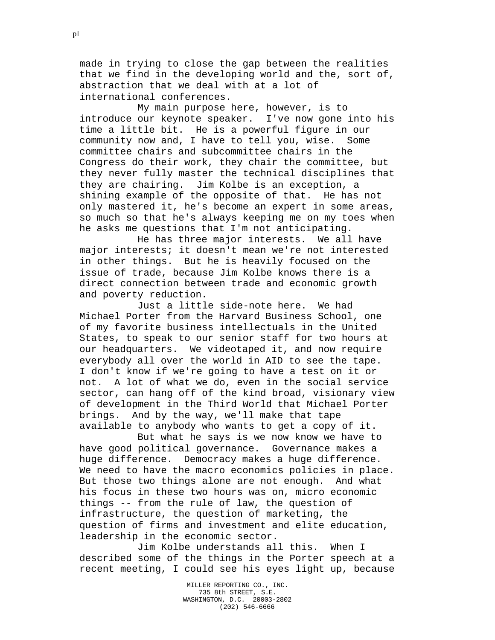made in trying to close the gap between the realities that we find in the developing world and the, sort of, abstraction that we deal with at a lot of international conferences.

My main purpose here, however, is to introduce our keynote speaker. I've now gone into his time a little bit. He is a powerful figure in our community now and, I have to tell you, wise. Some committee chairs and subcommittee chairs in the Congress do their work, they chair the committee, but they never fully master the technical disciplines that they are chairing. Jim Kolbe is an exception, a shining example of the opposite of that. He has not only mastered it, he's become an expert in some areas, so much so that he's always keeping me on my toes when he asks me questions that I'm not anticipating.

He has three major interests. We all have major interests; it doesn't mean we're not interested in other things. But he is heavily focused on the issue of trade, because Jim Kolbe knows there is a direct connection between trade and economic growth and poverty reduction.

Just a little side-note here. We had Michael Porter from the Harvard Business School, one of my favorite business intellectuals in the United States, to speak to our senior staff for two hours at our headquarters. We videotaped it, and now require everybody all over the world in AID to see the tape. I don't know if we're going to have a test on it or not. A lot of what we do, even in the social service sector, can hang off of the kind broad, visionary view of development in the Third World that Michael Porter brings. And by the way, we'll make that tape available to anybody who wants to get a copy of it.

But what he says is we now know we have to have good political governance. Governance makes a huge difference. Democracy makes a huge difference. We need to have the macro economics policies in place. But those two things alone are not enough. And what his focus in these two hours was on, micro economic things -- from the rule of law, the question of infrastructure, the question of marketing, the question of firms and investment and elite education, leadership in the economic sector.

Jim Kolbe understands all this. When I described some of the things in the Porter speech at a recent meeting, I could see his eyes light up, because